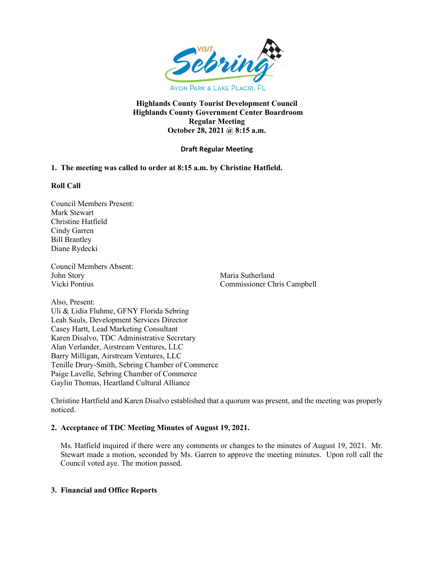

## **Highlands County Tourist Development Council Highlands County Government Center Boardroom Regular Meeting October 28, 2021 @ 8:15 a.m.**

# **Draft Regular Meeting**

# **1. The meeting was called to order at 8:15 a.m. by Christine Hatfield.**

### **Roll Call**

Council Members Present: Mark Stewart Christine Hatfield Cindy Garren Bill Brantley Diane Rydecki

Council Members Absent: John Story Maria Sutherland

Vicki Pontius Commissioner Chris Campbell

Also, Present: Uli & Lidia Fluhme, GFNY Florida Sebring Leah Sauls, Development Services Director Casey Hartt, Lead Marketing Consultant Karen Disalvo, TDC Administrative Secretary Alan Verlander, Airstream Ventures, LLC Barry Milligan, Airstream Ventures, LLC Tenille Drury-Smith, Sebring Chamber of Commerce Paige Lavelle, Sebring Chamber of Commerce Gaylin Thomas, Heartland Cultural Alliance

Christine Hartfield and Karen Disalvo established that a quorum was present, and the meeting was properly noticed.

## **2. Acceptance of TDC Meeting Minutes of August 19, 2021.**

Ms. Hatfield inquired if there were any comments or changes to the minutes of August 19, 2021. Mr. Stewart made a motion, seconded by Ms. Garren to approve the meeting minutes. Upon roll call the Council voted aye. The motion passed.

## **3. Financial and Office Reports**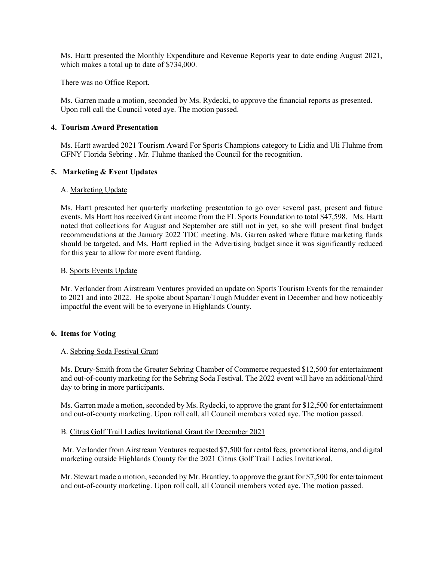Ms. Hartt presented the Monthly Expenditure and Revenue Reports year to date ending August 2021, which makes a total up to date of \$734,000.

There was no Office Report.

Ms. Garren made a motion, seconded by Ms. Rydecki, to approve the financial reports as presented. Upon roll call the Council voted aye. The motion passed.

### **4. Tourism Award Presentation**

Ms. Hartt awarded 2021 Tourism Award For Sports Champions category to Lidia and Uli Fluhme from GFNY Florida Sebring . Mr. Fluhme thanked the Council for the recognition.

### **5. Marketing & Event Updates**

### A. Marketing Update

Ms. Hartt presented her quarterly marketing presentation to go over several past, present and future events. Ms Hartt has received Grant income from the FL Sports Foundation to total \$47,598. Ms. Hartt noted that collections for August and September are still not in yet, so she will present final budget recommendations at the January 2022 TDC meeting. Ms. Garren asked where future marketing funds should be targeted, and Ms. Hartt replied in the Advertising budget since it was significantly reduced for this year to allow for more event funding.

### B. Sports Events Update

Mr. Verlander from Airstream Ventures provided an update on Sports Tourism Events for the remainder to 2021 and into 2022. He spoke about Spartan/Tough Mudder event in December and how noticeably impactful the event will be to everyone in Highlands County.

## **6. Items for Voting**

#### A. Sebring Soda Festival Grant

Ms. Drury-Smith from the Greater Sebring Chamber of Commerce requested \$12,500 for entertainment and out-of-county marketing for the Sebring Soda Festival. The 2022 event will have an additional/third day to bring in more participants.

Ms. Garren made a motion, seconded by Ms. Rydecki, to approve the grant for \$12,500 for entertainment and out-of-county marketing. Upon roll call, all Council members voted aye. The motion passed.

#### B. Citrus Golf Trail Ladies Invitational Grant for December 2021

Mr. Verlander from Airstream Ventures requested \$7,500 for rental fees, promotional items, and digital marketing outside Highlands County for the 2021 Citrus Golf Trail Ladies Invitational.

Mr. Stewart made a motion, seconded by Mr. Brantley, to approve the grant for \$7,500 for entertainment and out-of-county marketing. Upon roll call, all Council members voted aye. The motion passed.